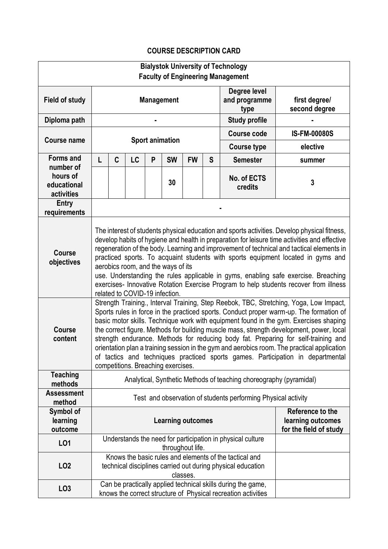## **COURSE DESCRIPTION CARD**

| <b>Bialystok University of Technology</b>          |                                                                                                                                                                                                                                                                                                                                                                                                                                                                                                                                                                                                                                                                                      |   |           |   |                        |                  |                                                                 |                                                                                                                               |        |
|----------------------------------------------------|--------------------------------------------------------------------------------------------------------------------------------------------------------------------------------------------------------------------------------------------------------------------------------------------------------------------------------------------------------------------------------------------------------------------------------------------------------------------------------------------------------------------------------------------------------------------------------------------------------------------------------------------------------------------------------------|---|-----------|---|------------------------|------------------|-----------------------------------------------------------------|-------------------------------------------------------------------------------------------------------------------------------|--------|
| <b>Faculty of Engineering Management</b>           |                                                                                                                                                                                                                                                                                                                                                                                                                                                                                                                                                                                                                                                                                      |   |           |   |                        |                  |                                                                 |                                                                                                                               |        |
| <b>Field of study</b>                              | <b>Management</b>                                                                                                                                                                                                                                                                                                                                                                                                                                                                                                                                                                                                                                                                    |   |           |   |                        |                  | Degree level<br>and programme<br>type                           | first degree/<br>second degree                                                                                                |        |
| Diploma path                                       |                                                                                                                                                                                                                                                                                                                                                                                                                                                                                                                                                                                                                                                                                      |   |           |   |                        |                  |                                                                 | <b>Study profile</b>                                                                                                          |        |
| <b>Course name</b>                                 |                                                                                                                                                                                                                                                                                                                                                                                                                                                                                                                                                                                                                                                                                      |   |           |   | <b>Sport animation</b> |                  | <b>Course code</b>                                              | <b>IS-FM-00080S</b>                                                                                                           |        |
|                                                    |                                                                                                                                                                                                                                                                                                                                                                                                                                                                                                                                                                                                                                                                                      |   |           |   |                        |                  | <b>Course type</b>                                              | elective                                                                                                                      |        |
| <b>Forms and</b>                                   | L                                                                                                                                                                                                                                                                                                                                                                                                                                                                                                                                                                                                                                                                                    | C | <b>LC</b> | P | <b>SW</b>              | <b>FW</b>        | S                                                               | <b>Semester</b>                                                                                                               | summer |
| number of<br>hours of<br>educational<br>activities |                                                                                                                                                                                                                                                                                                                                                                                                                                                                                                                                                                                                                                                                                      |   |           |   | 30                     |                  |                                                                 | No. of ECTS<br>credits                                                                                                        | 3      |
| Entry<br>requirements                              |                                                                                                                                                                                                                                                                                                                                                                                                                                                                                                                                                                                                                                                                                      |   |           |   |                        |                  |                                                                 |                                                                                                                               |        |
| <b>Course</b><br>objectives                        | The interest of students physical education and sports activities. Develop physical fitness,<br>develop habits of hygiene and health in preparation for leisure time activities and effective<br>regeneration of the body. Learning and improvement of technical and tactical elements in<br>practiced sports. To acquaint students with sports equipment located in gyms and<br>aerobics room, and the ways of its<br>use. Understanding the rules applicable in gyms, enabling safe exercise. Breaching<br>exercises- Innovative Rotation Exercise Program to help students recover from illness<br>related to COVID-19 infection.                                                 |   |           |   |                        |                  |                                                                 |                                                                                                                               |        |
| <b>Course</b><br>content                           | Strength Training., Interval Training, Step Reebok, TBC, Stretching, Yoga, Low Impact,<br>Sports rules in force in the practiced sports. Conduct proper warm-up. The formation of<br>basic motor skills. Technique work with equipment found in the gym. Exercises shaping<br>the correct figure. Methods for building muscle mass, strength development, power, local<br>strength endurance. Methods for reducing body fat. Preparing for self-training and<br>orientation plan a training session in the gym and aerobics room. The practical application<br>of tactics and techniques practiced sports games. Participation in departmental<br>competitions. Breaching exercises. |   |           |   |                        |                  |                                                                 |                                                                                                                               |        |
| <b>Teaching</b><br>methods                         | Analytical, Synthetic Methods of teaching choreography (pyramidal)                                                                                                                                                                                                                                                                                                                                                                                                                                                                                                                                                                                                                   |   |           |   |                        |                  |                                                                 |                                                                                                                               |        |
| <b>Assessment</b><br>method                        | Test and observation of students performing Physical activity                                                                                                                                                                                                                                                                                                                                                                                                                                                                                                                                                                                                                        |   |           |   |                        |                  |                                                                 |                                                                                                                               |        |
| Symbol of<br>learning<br>outcome                   | <b>Learning outcomes</b>                                                                                                                                                                                                                                                                                                                                                                                                                                                                                                                                                                                                                                                             |   |           |   |                        |                  | Reference to the<br>learning outcomes<br>for the field of study |                                                                                                                               |        |
| L01                                                |                                                                                                                                                                                                                                                                                                                                                                                                                                                                                                                                                                                                                                                                                      |   |           |   |                        | throughout life. |                                                                 | Understands the need for participation in physical culture                                                                    |        |
| LO <sub>2</sub>                                    |                                                                                                                                                                                                                                                                                                                                                                                                                                                                                                                                                                                                                                                                                      |   |           |   |                        | classes.         |                                                                 | Knows the basic rules and elements of the tactical and<br>technical disciplines carried out during physical education         |        |
| LO <sub>3</sub>                                    |                                                                                                                                                                                                                                                                                                                                                                                                                                                                                                                                                                                                                                                                                      |   |           |   |                        |                  |                                                                 | Can be practically applied technical skills during the game,<br>knows the correct structure of Physical recreation activities |        |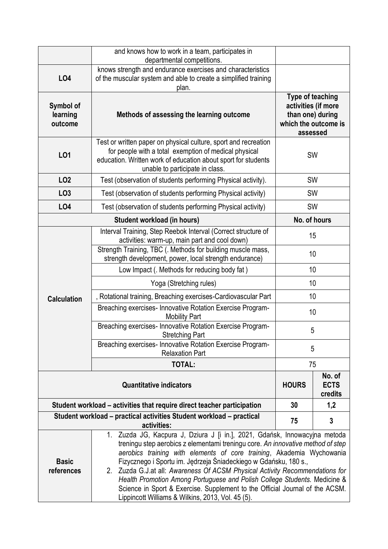|                                  | and knows how to work in a team, participates in<br>departmental competitions.                                                                                                                                                                                                                                                                                                                                                                                                                                                                                                                               |                                                                                                        |              |  |  |
|----------------------------------|--------------------------------------------------------------------------------------------------------------------------------------------------------------------------------------------------------------------------------------------------------------------------------------------------------------------------------------------------------------------------------------------------------------------------------------------------------------------------------------------------------------------------------------------------------------------------------------------------------------|--------------------------------------------------------------------------------------------------------|--------------|--|--|
| LO4                              | knows strength and endurance exercises and characteristics<br>of the muscular system and able to create a simplified training<br>plan.                                                                                                                                                                                                                                                                                                                                                                                                                                                                       |                                                                                                        |              |  |  |
| Symbol of<br>learning<br>outcome | Methods of assessing the learning outcome                                                                                                                                                                                                                                                                                                                                                                                                                                                                                                                                                                    | <b>Type of teaching</b><br>activities (if more<br>than one) during<br>which the outcome is<br>assessed |              |  |  |
| LO1                              | Test or written paper on physical culture, sport and recreation<br>for people with a total exemption of medical physical<br><b>SW</b><br>education. Written work of education about sport for students<br>unable to participate in class.                                                                                                                                                                                                                                                                                                                                                                    |                                                                                                        |              |  |  |
| LO <sub>2</sub>                  | Test (observation of students performing Physical activity).<br><b>SW</b>                                                                                                                                                                                                                                                                                                                                                                                                                                                                                                                                    |                                                                                                        |              |  |  |
| LO <sub>3</sub>                  | Test (observation of students performing Physical activity)                                                                                                                                                                                                                                                                                                                                                                                                                                                                                                                                                  | SW                                                                                                     |              |  |  |
| LO4                              | Test (observation of students performing Physical activity)                                                                                                                                                                                                                                                                                                                                                                                                                                                                                                                                                  | <b>SW</b>                                                                                              |              |  |  |
|                                  | Student workload (in hours)                                                                                                                                                                                                                                                                                                                                                                                                                                                                                                                                                                                  | No. of hours                                                                                           |              |  |  |
|                                  | Interval Training, Step Reebok Interval (Correct structure of<br>activities: warm-up, main part and cool down)                                                                                                                                                                                                                                                                                                                                                                                                                                                                                               | 15                                                                                                     |              |  |  |
|                                  | Strength Training, TBC (. Methods for building muscle mass,<br>strength development, power, local strength endurance)                                                                                                                                                                                                                                                                                                                                                                                                                                                                                        | 10                                                                                                     |              |  |  |
|                                  | Low Impact (. Methods for reducing body fat)                                                                                                                                                                                                                                                                                                                                                                                                                                                                                                                                                                 | 10                                                                                                     |              |  |  |
|                                  | Yoga (Stretching rules)                                                                                                                                                                                                                                                                                                                                                                                                                                                                                                                                                                                      | 10                                                                                                     |              |  |  |
| <b>Calculation</b>               | , Rotational training, Breaching exercises-Cardiovascular Part                                                                                                                                                                                                                                                                                                                                                                                                                                                                                                                                               | 10                                                                                                     |              |  |  |
|                                  | Breaching exercises- Innovative Rotation Exercise Program-<br><b>Mobility Part</b>                                                                                                                                                                                                                                                                                                                                                                                                                                                                                                                           | 10                                                                                                     |              |  |  |
|                                  | Breaching exercises- Innovative Rotation Exercise Program-<br><b>Stretching Part</b>                                                                                                                                                                                                                                                                                                                                                                                                                                                                                                                         | 5                                                                                                      |              |  |  |
|                                  | Breaching exercises- Innovative Rotation Exercise Program-<br><b>Relaxation Part</b>                                                                                                                                                                                                                                                                                                                                                                                                                                                                                                                         | 5                                                                                                      |              |  |  |
|                                  | <b>TOTAL:</b>                                                                                                                                                                                                                                                                                                                                                                                                                                                                                                                                                                                                | 75                                                                                                     |              |  |  |
|                                  | <b>HOURS</b>                                                                                                                                                                                                                                                                                                                                                                                                                                                                                                                                                                                                 | No. of<br><b>ECTS</b><br>credits                                                                       |              |  |  |
|                                  | Student workload – activities that require direct teacher participation                                                                                                                                                                                                                                                                                                                                                                                                                                                                                                                                      | 30                                                                                                     | 1,2          |  |  |
|                                  | Student workload - practical activities Student workload - practical<br>activities:                                                                                                                                                                                                                                                                                                                                                                                                                                                                                                                          | 75                                                                                                     | $\mathbf{3}$ |  |  |
| <b>Basic</b><br>references       | 1. Zuzda JG, Kacpura J, Dziura J [i in.], 2021, Gdańsk, Innowacyjna metoda<br>treningu step aerobics z elementami treningu core. An innovative method of step<br>aerobics training with elements of core training, Akademia Wychowania<br>Fizycznego i Sportu im. Jędrzeja Śniadeckiego w Gdańsku, 180 s.,<br>2. Zuzda G.J.at all: Awareness Of ACSM Physical Activity Recommendations for<br>Health Promotion Among Portuguese and Polish College Students. Medicine &<br>Science in Sport & Exercise. Supplement to the Official Journal of the ACSM.<br>Lippincott Williams & Wilkins, 2013, Vol. 45 (5). |                                                                                                        |              |  |  |